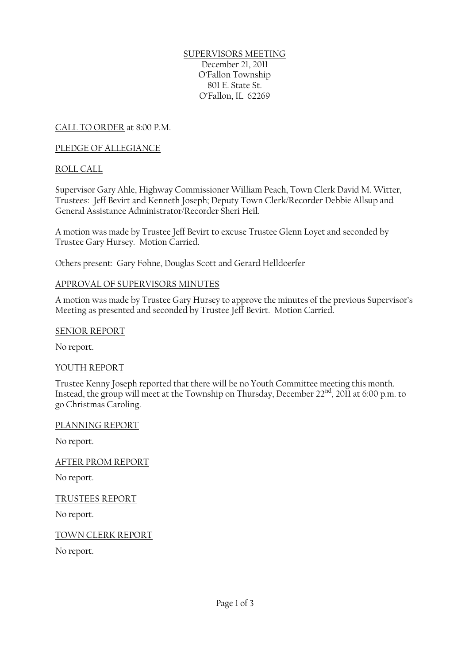SUPERVISORS MEETING December 21, 2011 O'Fallon Township 801 E. State St. O'Fallon, IL 62269

CALL TO ORDER at 8:00 P.M.

## PLEDGE OF ALLEGIANCE

# ROLL CALL

Supervisor Gary Ahle, Highway Commissioner William Peach, Town Clerk David M. Witter, Trustees: Jeff Bevirt and Kenneth Joseph; Deputy Town Clerk/Recorder Debbie Allsup and General Assistance Administrator/Recorder Sheri Heil.

A motion was made by Trustee Jeff Bevirt to excuse Trustee Glenn Loyet and seconded by Trustee Gary Hursey. Motion Carried.

Others present: Gary Fohne, Douglas Scott and Gerard Helldoerfer

## APPROVAL OF SUPERVISORS MINUTES

A motion was made by Trustee Gary Hursey to approve the minutes of the previous Supervisor's Meeting as presented and seconded by Trustee Jeff Bevirt. Motion Carried.

### SENIOR REPORT

No report.

## YOUTH REPORT

Trustee Kenny Joseph reported that there will be no Youth Committee meeting this month. Instead, the group will meet at the Township on Thursday, December  $22<sup>nd</sup>$ , 2011 at 6:00 p.m. to go Christmas Caroling.

#### PLANNING REPORT

No report.

AFTER PROM REPORT

No report.

TRUSTEES REPORT

No report.

TOWN CLERK REPORT

No report.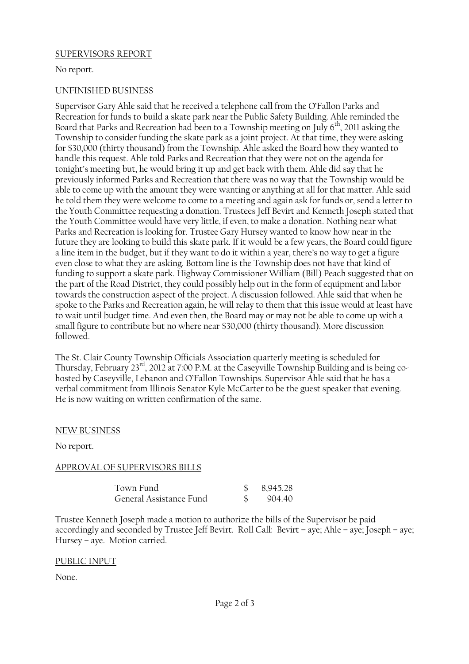#### SUPERVISORS REPORT

No report.

#### UNFINISHED BUSINESS

Supervisor Gary Ahle said that he received a telephone call from the O'Fallon Parks and Recreation for funds to build a skate park near the Public Safety Building. Ahle reminded the Board that Parks and Recreation had been to a Township meeting on July  $6<sup>th</sup>$ , 2011 asking the Township to consider funding the skate park as a joint project. At that time, they were asking for \$30,000 (thirty thousand) from the Township. Ahle asked the Board how they wanted to handle this request. Ahle told Parks and Recreation that they were not on the agenda for tonight's meeting but, he would bring it up and get back with them. Ahle did say that he previously informed Parks and Recreation that there was no way that the Township would be able to come up with the amount they were wanting or anything at all for that matter. Ahle said he told them they were welcome to come to a meeting and again ask for funds or, send a letter to the Youth Committee requesting a donation. Trustees Jeff Bevirt and Kenneth Joseph stated that the Youth Committee would have very little, if even, to make a donation. Nothing near what Parks and Recreation is looking for. Trustee Gary Hursey wanted to know how near in the future they are looking to build this skate park. If it would be a few years, the Board could figure a line item in the budget, but if they want to do it within a year, there's no way to get a figure even close to what they are asking. Bottom line is the Township does not have that kind of funding to support a skate park. Highway Commissioner William (Bill) Peach suggested that on the part of the Road District, they could possibly help out in the form of equipment and labor towards the construction aspect of the project. A discussion followed. Ahle said that when he spoke to the Parks and Recreation again, he will relay to them that this issue would at least have to wait until budget time. And even then, the Board may or may not be able to come up with a small figure to contribute but no where near \$30,000 (thirty thousand). More discussion followed.

The St. Clair County Township Officials Association quarterly meeting is scheduled for Thursday, February 23rd, 2012 at 7:00 P.M. at the Caseyville Township Building and is being cohosted by Caseyville, Lebanon and O'Fallon Townships. Supervisor Ahle said that he has a verbal commitment from Illinois Senator Kyle McCarter to be the guest speaker that evening. He is now waiting on written confirmation of the same.

#### NEW BUSINESS

No report.

## APPROVAL OF SUPERVISORS BILLS

| Town Fund               | 8,945.28 |
|-------------------------|----------|
| General Assistance Fund | 904.40   |

Trustee Kenneth Joseph made a motion to authorize the bills of the Supervisor be paid accordingly and seconded by Trustee Jeff Bevirt. Roll Call: Bevirt – aye; Ahle – aye; Joseph – aye; Hursey – aye. Motion carried.

#### PUBLIC INPUT

None.